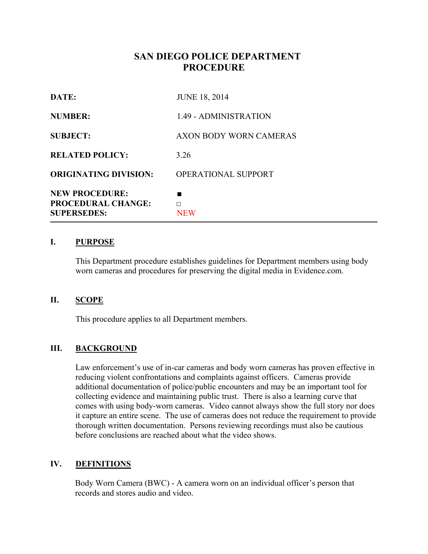# **SAN DIEGO POLICE DEPARTMENT PROCEDURE**

| DATE:                                                                    | <b>JUNE 18, 2014</b>          |
|--------------------------------------------------------------------------|-------------------------------|
| <b>NUMBER:</b>                                                           | 1.49 - ADMINISTRATION         |
| <b>SUBJECT:</b>                                                          | <b>AXON BODY WORN CAMERAS</b> |
| <b>RELATED POLICY:</b>                                                   | 3.26                          |
| <b>ORIGINATING DIVISION:</b>                                             | OPERATIONAL SUPPORT           |
| <b>NEW PROCEDURE:</b><br><b>PROCEDURAL CHANGE:</b><br><b>SUPERSEDES:</b> | ■<br>П<br><b>NEW</b>          |

### **I. PURPOSE**

This Department procedure establishes guidelines for Department members using body worn cameras and procedures for preserving the digital media in Evidence.com.

#### **II. SCOPE**

This procedure applies to all Department members.

### **III. BACKGROUND**

Law enforcement's use of in-car cameras and body worn cameras has proven effective in reducing violent confrontations and complaints against officers. Cameras provide additional documentation of police/public encounters and may be an important tool for collecting evidence and maintaining public trust. There is also a learning curve that comes with using body-worn cameras. Video cannot always show the full story nor does it capture an entire scene. The use of cameras does not reduce the requirement to provide thorough written documentation. Persons reviewing recordings must also be cautious before conclusions are reached about what the video shows.

#### **IV. DEFINITIONS**

Body Worn Camera (BWC) - A camera worn on an individual officer's person that records and stores audio and video.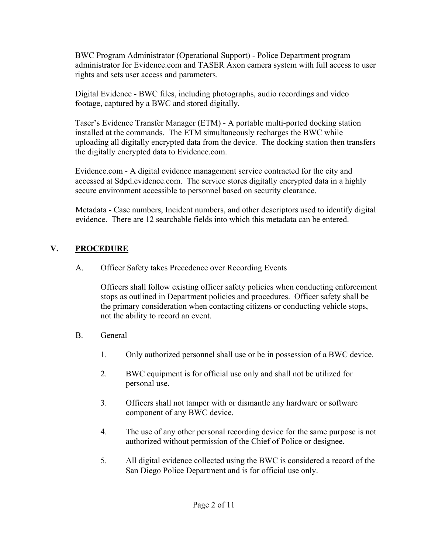BWC Program Administrator (Operational Support) - Police Department program administrator for Evidence.com and TASER Axon camera system with full access to user rights and sets user access and parameters.

Digital Evidence - BWC files, including photographs, audio recordings and video footage, captured by a BWC and stored digitally.

Taser's Evidence Transfer Manager (ETM) - A portable multi-ported docking station installed at the commands. The ETM simultaneously recharges the BWC while uploading all digitally encrypted data from the device. The docking station then transfers the digitally encrypted data to Evidence.com.

Evidence.com - A digital evidence management service contracted for the city and accessed at Sdpd.evidence.com. The service stores digitally encrypted data in a highly secure environment accessible to personnel based on security clearance.

Metadata - Case numbers, Incident numbers, and other descriptors used to identify digital evidence. There are 12 searchable fields into which this metadata can be entered.

## **V. PROCEDURE**

A. Officer Safety takes Precedence over Recording Events

 Officers shall follow existing officer safety policies when conducting enforcement stops as outlined in Department policies and procedures. Officer safety shall be the primary consideration when contacting citizens or conducting vehicle stops, not the ability to record an event.

- B. General
	- 1. Only authorized personnel shall use or be in possession of a BWC device.
	- 2. BWC equipment is for official use only and shall not be utilized for personal use.
	- 3. Officers shall not tamper with or dismantle any hardware or software component of any BWC device.
	- 4. The use of any other personal recording device for the same purpose is not authorized without permission of the Chief of Police or designee.
	- 5. All digital evidence collected using the BWC is considered a record of the San Diego Police Department and is for official use only.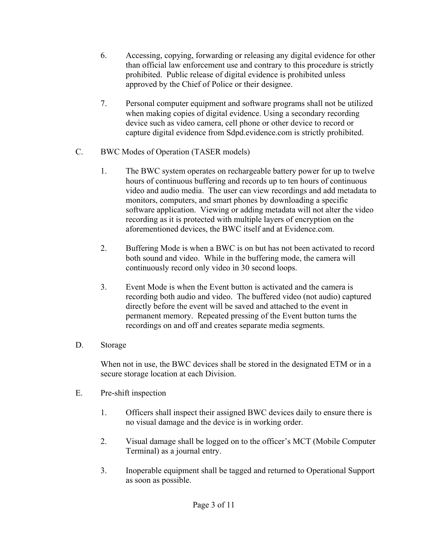- 6. Accessing, copying, forwarding or releasing any digital evidence for other than official law enforcement use and contrary to this procedure is strictly prohibited. Public release of digital evidence is prohibited unless approved by the Chief of Police or their designee.
- 7. Personal computer equipment and software programs shall not be utilized when making copies of digital evidence. Using a secondary recording device such as video camera, cell phone or other device to record or capture digital evidence from Sdpd.evidence.com is strictly prohibited.
- C. BWC Modes of Operation (TASER models)
	- 1. The BWC system operates on rechargeable battery power for up to twelve hours of continuous buffering and records up to ten hours of continuous video and audio media. The user can view recordings and add metadata to monitors, computers, and smart phones by downloading a specific software application. Viewing or adding metadata will not alter the video recording as it is protected with multiple layers of encryption on the aforementioned devices, the BWC itself and at Evidence.com.
	- 2. Buffering Mode is when a BWC is on but has not been activated to record both sound and video. While in the buffering mode, the camera will continuously record only video in 30 second loops.
	- 3. Event Mode is when the Event button is activated and the camera is recording both audio and video. The buffered video (not audio) captured directly before the event will be saved and attached to the event in permanent memory. Repeated pressing of the Event button turns the recordings on and off and creates separate media segments.
- D. Storage

When not in use, the BWC devices shall be stored in the designated ETM or in a secure storage location at each Division.

- E. Pre-shift inspection
	- 1. Officers shall inspect their assigned BWC devices daily to ensure there is no visual damage and the device is in working order.
	- 2. Visual damage shall be logged on to the officer's MCT (Mobile Computer Terminal) as a journal entry.
	- 3. Inoperable equipment shall be tagged and returned to Operational Support as soon as possible.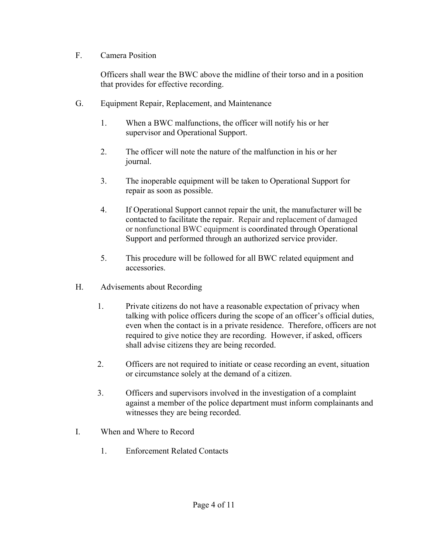### F. Camera Position

Officers shall wear the BWC above the midline of their torso and in a position that provides for effective recording.

- G. Equipment Repair, Replacement, and Maintenance
	- 1. When a BWC malfunctions, the officer will notify his or her supervisor and Operational Support.
	- 2. The officer will note the nature of the malfunction in his or her journal.
	- 3. The inoperable equipment will be taken to Operational Support for repair as soon as possible.
	- 4. If Operational Support cannot repair the unit, the manufacturer will be contacted to facilitate the repair. Repair and replacement of damaged or nonfunctional BWC equipment is coordinated through Operational Support and performed through an authorized service provider.
	- 5. This procedure will be followed for all BWC related equipment and accessories.
- H. Advisements about Recording
	- 1. Private citizens do not have a reasonable expectation of privacy when talking with police officers during the scope of an officer's official duties, even when the contact is in a private residence. Therefore, officers are not required to give notice they are recording. However, if asked, officers shall advise citizens they are being recorded.
	- 2. Officers are not required to initiate or cease recording an event, situation or circumstance solely at the demand of a citizen.
	- 3. Officers and supervisors involved in the investigation of a complaint against a member of the police department must inform complainants and witnesses they are being recorded.
- I. When and Where to Record
	- 1. Enforcement Related Contacts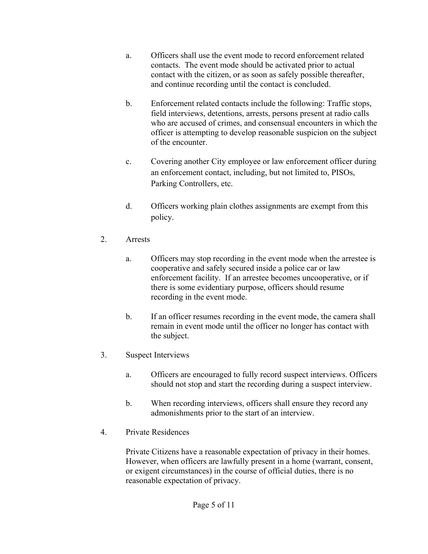- a. Officers shall use the event mode to record enforcement related contacts. The event mode should be activated prior to actual contact with the citizen, or as soon as safely possible thereafter, and continue recording until the contact is concluded.
- b. Enforcement related contacts include the following: Traffic stops, field interviews, detentions, arrests, persons present at radio calls who are accused of crimes, and consensual encounters in which the officer is attempting to develop reasonable suspicion on the subject of the encounter.
- c. Covering another City employee or law enforcement officer during an enforcement contact, including, but not limited to, PISOs, Parking Controllers, etc.
- d. Officers working plain clothes assignments are exempt from this policy.
- 2. Arrests
	- a. Officers may stop recording in the event mode when the arrestee is cooperative and safely secured inside a police car or law enforcement facility. If an arrestee becomes uncooperative, or if there is some evidentiary purpose, officers should resume recording in the event mode.
	- b. If an officer resumes recording in the event mode, the camera shall remain in event mode until the officer no longer has contact with the subject.
- 3. Suspect Interviews
	- a. Officers are encouraged to fully record suspect interviews. Officers should not stop and start the recording during a suspect interview.
	- b. When recording interviews, officers shall ensure they record any admonishments prior to the start of an interview.
- 4. Private Residences

Private Citizens have a reasonable expectation of privacy in their homes. However, when officers are lawfully present in a home (warrant, consent, or exigent circumstances) in the course of official duties, there is no reasonable expectation of privacy.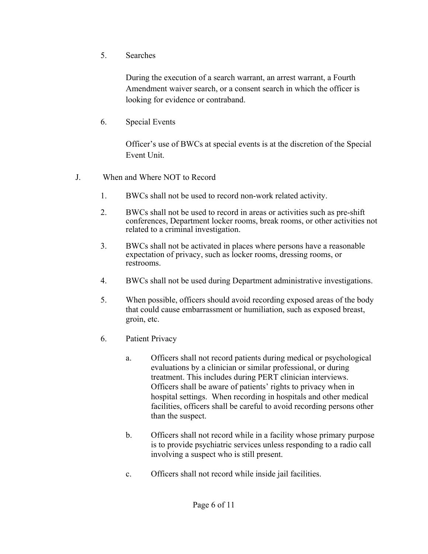5. Searches

During the execution of a search warrant, an arrest warrant, a Fourth Amendment waiver search, or a consent search in which the officer is looking for evidence or contraband.

6. Special Events

Officer's use of BWCs at special events is at the discretion of the Special Event Unit.

- J. When and Where NOT to Record
	- 1. BWCs shall not be used to record non-work related activity.
	- 2. BWCs shall not be used to record in areas or activities such as pre-shift conferences, Department locker rooms, break rooms, or other activities not related to a criminal investigation.
	- 3. BWCs shall not be activated in places where persons have a reasonable expectation of privacy, such as locker rooms, dressing rooms, or restrooms.
	- 4. BWCs shall not be used during Department administrative investigations.
	- 5. When possible, officers should avoid recording exposed areas of the body that could cause embarrassment or humiliation, such as exposed breast, groin, etc.
	- 6. Patient Privacy
		- a. Officers shall not record patients during medical or psychological evaluations by a clinician or similar professional, or during treatment. This includes during PERT clinician interviews. Officers shall be aware of patients' rights to privacy when in hospital settings. When recording in hospitals and other medical facilities, officers shall be careful to avoid recording persons other than the suspect.
		- b. Officers shall not record while in a facility whose primary purpose is to provide psychiatric services unless responding to a radio call involving a suspect who is still present.
		- c. Officers shall not record while inside jail facilities.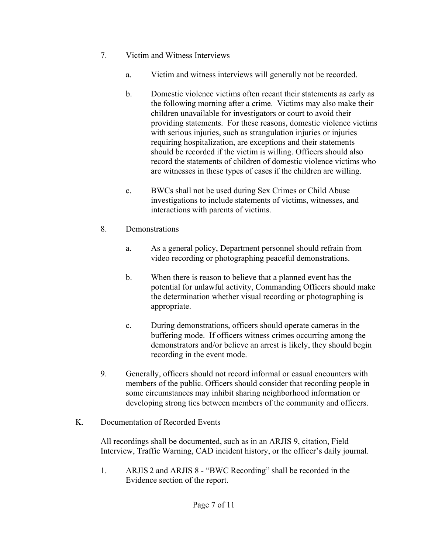- 7. Victim and Witness Interviews
	- a. Victim and witness interviews will generally not be recorded.
	- b. Domestic violence victims often recant their statements as early as the following morning after a crime. Victims may also make their children unavailable for investigators or court to avoid their providing statements. For these reasons, domestic violence victims with serious injuries, such as strangulation injuries or injuries requiring hospitalization, are exceptions and their statements should be recorded if the victim is willing. Officers should also record the statements of children of domestic violence victims who are witnesses in these types of cases if the children are willing.
	- c. BWCs shall not be used during Sex Crimes or Child Abuse investigations to include statements of victims, witnesses, and interactions with parents of victims.
- 8. Demonstrations
	- a. As a general policy, Department personnel should refrain from video recording or photographing peaceful demonstrations.
	- b. When there is reason to believe that a planned event has the potential for unlawful activity, Commanding Officers should make the determination whether visual recording or photographing is appropriate.
	- c. During demonstrations, officers should operate cameras in the buffering mode. If officers witness crimes occurring among the demonstrators and/or believe an arrest is likely, they should begin recording in the event mode.
- 9. Generally, officers should not record informal or casual encounters with members of the public. Officers should consider that recording people in some circumstances may inhibit sharing neighborhood information or developing strong ties between members of the community and officers.
- K. Documentation of Recorded Events

All recordings shall be documented, such as in an ARJIS 9, citation, Field Interview, Traffic Warning, CAD incident history, or the officer's daily journal.

1. ARJIS 2 and ARJIS 8 - "BWC Recording" shall be recorded in the Evidence section of the report.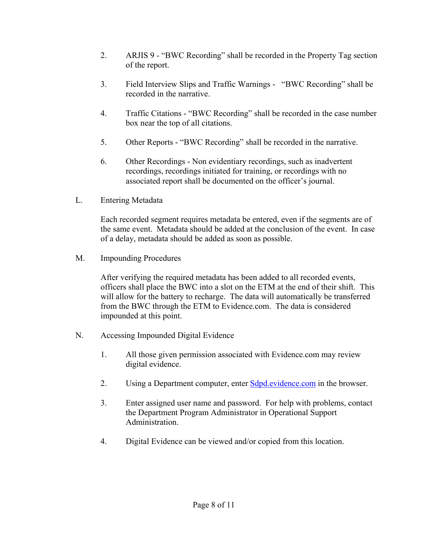- 2. ARJIS 9 "BWC Recording" shall be recorded in the Property Tag section of the report.
- 3. Field Interview Slips and Traffic Warnings "BWC Recording" shall be recorded in the narrative.
- 4. Traffic Citations "BWC Recording" shall be recorded in the case number box near the top of all citations.
- 5. Other Reports "BWC Recording" shall be recorded in the narrative.
- 6. Other Recordings Non evidentiary recordings, such as inadvertent recordings, recordings initiated for training, or recordings with no associated report shall be documented on the officer's journal.
- L. Entering Metadata

Each recorded segment requires metadata be entered, even if the segments are of the same event. Metadata should be added at the conclusion of the event. In case of a delay, metadata should be added as soon as possible.

M. Impounding Procedures

After verifying the required metadata has been added to all recorded events, officers shall place the BWC into a slot on the ETM at the end of their shift. This will allow for the battery to recharge. The data will automatically be transferred from the BWC through the ETM to Evidence.com. The data is considered impounded at this point.

- N. Accessing Impounded Digital Evidence
	- 1. All those given permission associated with Evidence.com may review digital evidence.
	- 2. Using a Department computer, enter Sdpd.evidence.com in the browser.
	- 3. Enter assigned user name and password. For help with problems, contact the Department Program Administrator in Operational Support Administration.
	- 4. Digital Evidence can be viewed and/or copied from this location.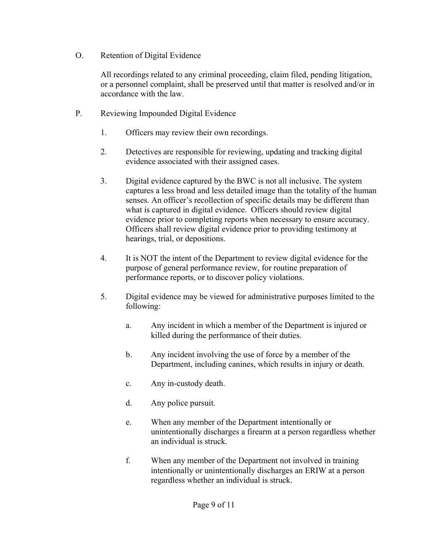O. Retention of Digital Evidence

All recordings related to any criminal proceeding, claim filed, pending litigation, or a personnel complaint, shall be preserved until that matter is resolved and/or in accordance with the law.

- P. Reviewing Impounded Digital Evidence
	- 1. Officers may review their own recordings.
	- 2. Detectives are responsible for reviewing, updating and tracking digital evidence associated with their assigned cases.
	- 3. Digital evidence captured by the BWC is not all inclusive. The system captures a less broad and less detailed image than the totality of the human senses. An officer's recollection of specific details may be different than what is captured in digital evidence. Officers should review digital evidence prior to completing reports when necessary to ensure accuracy. Officers shall review digital evidence prior to providing testimony at hearings, trial, or depositions.
	- 4. It is NOT the intent of the Department to review digital evidence for the purpose of general performance review, for routine preparation of performance reports, or to discover policy violations.
	- 5. Digital evidence may be viewed for administrative purposes limited to the following:
		- a. Any incident in which a member of the Department is injured or killed during the performance of their duties.
		- b. Any incident involving the use of force by a member of the Department, including canines, which results in injury or death.
		- c. Any in-custody death.
		- d. Any police pursuit.
		- e. When any member of the Department intentionally or unintentionally discharges a firearm at a person regardless whether an individual is struck.
		- f. When any member of the Department not involved in training intentionally or unintentionally discharges an ERIW at a person regardless whether an individual is struck.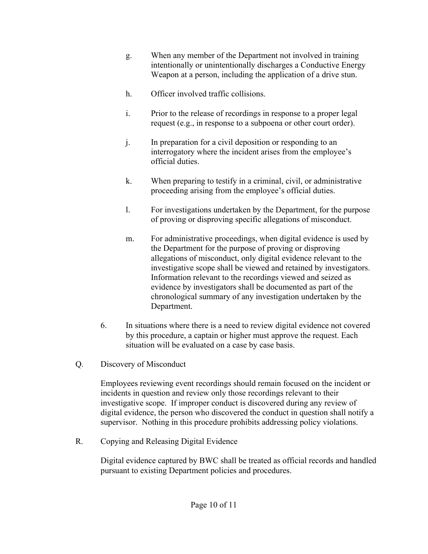- g. When any member of the Department not involved in training intentionally or unintentionally discharges a Conductive Energy Weapon at a person, including the application of a drive stun.
- h. Officer involved traffic collisions.
- i. Prior to the release of recordings in response to a proper legal request (e.g., in response to a subpoena or other court order).
- j. In preparation for a civil deposition or responding to an interrogatory where the incident arises from the employee's official duties.
- k. When preparing to testify in a criminal, civil, or administrative proceeding arising from the employee's official duties.
- l. For investigations undertaken by the Department, for the purpose of proving or disproving specific allegations of misconduct.
- m. For administrative proceedings, when digital evidence is used by the Department for the purpose of proving or disproving allegations of misconduct, only digital evidence relevant to the investigative scope shall be viewed and retained by investigators. Information relevant to the recordings viewed and seized as evidence by investigators shall be documented as part of the chronological summary of any investigation undertaken by the Department.
- 6. In situations where there is a need to review digital evidence not covered by this procedure, a captain or higher must approve the request. Each situation will be evaluated on a case by case basis.
- Q. Discovery of Misconduct

Employees reviewing event recordings should remain focused on the incident or incidents in question and review only those recordings relevant to their investigative scope. If improper conduct is discovered during any review of digital evidence, the person who discovered the conduct in question shall notify a supervisor. Nothing in this procedure prohibits addressing policy violations.

R. Copying and Releasing Digital Evidence

Digital evidence captured by BWC shall be treated as official records and handled pursuant to existing Department policies and procedures.